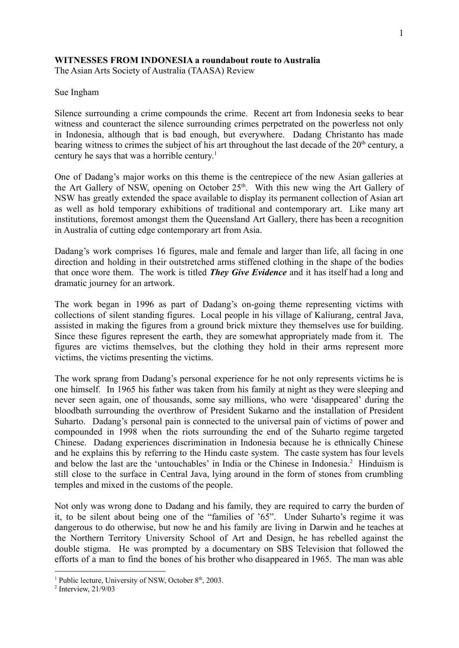## **WITNESSES FROM INDONESIA a roundabout route to Australia**

The Asian Arts Society of Australia (TAASA) Review

## Sue Ingham

Silence surrounding a crime compounds the crime. Recent art from Indonesia seeks to bear witness and counteract the silence surrounding crimes perpetrated on the powerless not only in Indonesia, although that is bad enough, but everywhere. Dadang Christanto has made bearing witness to crimes the subject of his art throughout the last decade of the  $20<sup>th</sup>$  century, a century he says that was a horrible century. 1

One of Dadang's major works on this theme is the centrepiece of the new Asian galleries at the Art Gallery of NSW, opening on October  $25<sup>th</sup>$ . With this new wing the Art Gallery of NSW has greatly extended the space available to display its permanent collection of Asian art as well as hold temporary exhibitions of traditional and contemporary art. Like many art institutions, foremost amongst them the Queensland Art Gallery, there has been a recognition in Australia of cutting edge contemporary art from Asia.

Dadang's work comprises 16 figures, male and female and larger than life, all facing in one direction and holding in their outstretched arms stiffened clothing in the shape of the bodies that once wore them. The work is titled *They Give Evidence* and it has itself had a long and dramatic journey for an artwork.

The work began in 1996 as part of Dadang's on-going theme representing victims with collections of silent standing figures. Local people in his village of Kaliurang, central Java, assisted in making the figures from a ground brick mixture they themselves use for building. Since these figures represent the earth, they are somewhat appropriately made from it. The figures are victims themselves, but the clothing they hold in their arms represent more victims, the victims presenting the victims.

The work sprang from Dadang's personal experience for he not only represents victims he is one himself. In 1965 his father was taken from his family at night as they were sleeping and never seen again, one of thousands, some say millions, who were 'disappeared' during the bloodbath surrounding the overthrow of President Sukarno and the installation of President Suharto. Dadang's personal pain is connected to the universal pain of victims of power and compounded in 1998 when the riots surrounding the end of the Suharto regime targeted Chinese. Dadang experiences discrimination in Indonesia because he is ethnically Chinese and he explains this by referring to the Hindu caste system. The caste system has four levels and below the last are the 'untouchables' in India or the Chinese in Indonesia.<sup>2</sup> Hinduism is still close to the surface in Central Java, lying around in the form of stones from crumbling temples and mixed in the customs of the people.

Not only was wrong done to Dadang and his family, they are required to carry the burden of it, to be silent about being one of the "families of '65". Under Suharto's regime it was dangerous to do otherwise, but now he and his family are living in Darwin and he teaches at the Northern Territory University School of Art and Design, he has rebelled against the double stigma. He was prompted by a documentary on SBS Television that followed the efforts of a man to find the bones of his brother who disappeared in 1965. The man was able

<sup>&</sup>lt;sup>1</sup> Public lecture, University of NSW, October 8<sup>th</sup>, 2003.

<sup>2</sup> Interview, 21/9/03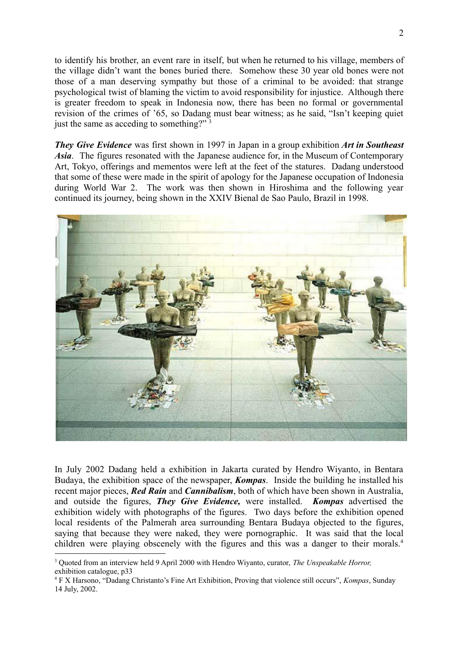to identify his brother, an event rare in itself, but when he returned to his village, members of the village didn't want the bones buried there. Somehow these 30 year old bones were not those of a man deserving sympathy but those of a criminal to be avoided: that strange psychological twist of blaming the victim to avoid responsibility for injustice. Although there is greater freedom to speak in Indonesia now, there has been no formal or governmental revision of the crimes of '65, so Dadang must bear witness; as he said, "Isn't keeping quiet just the same as acceding to something?" <sup>3</sup>

*They Give Evidence* was first shown in 1997 in Japan in a group exhibition *Art in Southeast Asia*. The figures resonated with the Japanese audience for, in the Museum of Contemporary Art, Tokyo, offerings and mementos were left at the feet of the statures. Dadang understood that some of these were made in the spirit of apology for the Japanese occupation of Indonesia during World War 2. The work was then shown in Hiroshima and the following year continued its journey, being shown in the XXIV Bienal de Sao Paulo, Brazil in 1998.



In July 2002 Dadang held a exhibition in Jakarta curated by Hendro Wiyanto, in Bentara Budaya, the exhibition space of the newspaper, *Kompas*. Inside the building he installed his recent major pieces, *Red Rain* and *Cannibalism*, both of which have been shown in Australia, and outside the figures, *They Give Evidence,* were installed. *Kompas* advertised the exhibition widely with photographs of the figures. Two days before the exhibition opened local residents of the Palmerah area surrounding Bentara Budaya objected to the figures, saying that because they were naked, they were pornographic. It was said that the local children were playing obscenely with the figures and this was a danger to their morals.<sup>4</sup>

<sup>3</sup> Quoted from an interview held 9 April 2000 with Hendro Wiyanto, curator, *The Unspeakable Horror,* exhibition catalogue, p33

<sup>4</sup> F X Harsono, "Dadang Christanto's Fine Art Exhibition, Proving that violence still occurs", *Kompas*, Sunday 14 July, 2002.